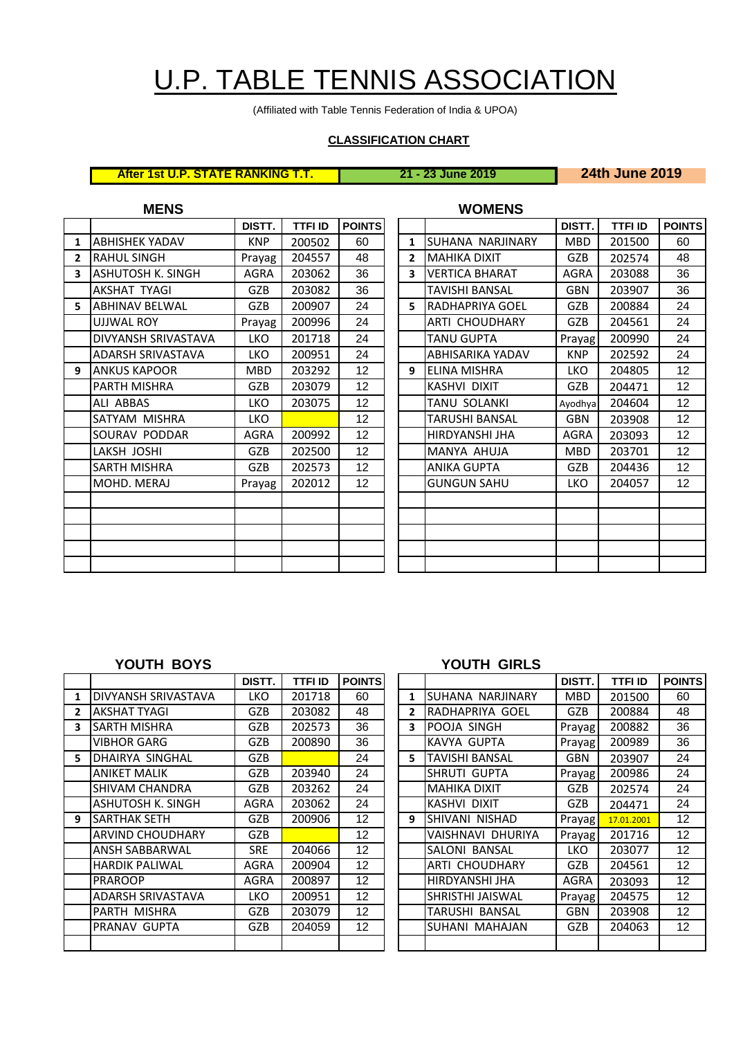# U.P. TABLE TENNIS ASSOCIATION

(Affiliated with Table Tennis Federation of India & UPOA)

## **CLASSIFICATION CHART**

**After 1st U.P. STATE RANKING T.T. 21 - 23 June 2019 24th June 2019**

|                         | <b>MENS</b>              |             |                |                   |                | <b>WOMENS</b>          |             |                |             |
|-------------------------|--------------------------|-------------|----------------|-------------------|----------------|------------------------|-------------|----------------|-------------|
|                         |                          | DISTT.      | <b>TTFI ID</b> | <b>POINTS</b>     |                |                        | DISTT.      | <b>TTFI ID</b> | <b>POIN</b> |
| $\mathbf{1}$            | <b>ABHISHEK YADAV</b>    | <b>KNP</b>  | 200502         | 60                | $\mathbf{1}$   | ISUHANA NARJINARY      | <b>MBD</b>  | 201500         | 60          |
| $\overline{2}$          | <b>RAHUL SINGH</b>       | Prayag      | 204557         | 48                | $\overline{2}$ | <b>MAHIKA DIXIT</b>    | <b>GZB</b>  | 202574         | 48          |
| $\overline{\mathbf{3}}$ | <b>ASHUTOSH K. SINGH</b> | <b>AGRA</b> | 203062         | 36                | 3              | <b>VERTICA BHARAT</b>  | AGRA        | 203088         | 36          |
|                         | AKSHAT TYAGI             | GZB         | 203082         | 36                |                | <b>TAVISHI BANSAL</b>  | <b>GBN</b>  | 203907         | 36          |
| 5.                      | <b>ABHINAV BELWAL</b>    | <b>GZB</b>  | 200907         | 24                | 5              | <b>RADHAPRIYA GOEL</b> | <b>GZB</b>  | 200884         | 24          |
|                         | UJJWAL ROY               | Prayag      | 200996         | 24                |                | ARTI CHOUDHARY         | GZB         | 204561         | 24          |
|                         | DIVYANSH SRIVASTAVA      | LKO         | 201718         | 24                |                | <b>TANU GUPTA</b>      | Prayag      | 200990         | 24          |
|                         | ADARSH SRIVASTAVA        | <b>LKO</b>  | 200951         | 24                |                | ABHISARIKA YADAV       | <b>KNP</b>  | 202592         | 24          |
| 9                       | <b>ANKUS KAPOOR</b>      | <b>MBD</b>  | 203292         | 12                | 9              | <b>ELINA MISHRA</b>    | <b>LKO</b>  | 204805         | 12          |
|                         | PARTH MISHRA             | <b>GZB</b>  | 203079         | 12                |                | KASHVI DIXIT           | <b>GZB</b>  | 204471         | 12          |
|                         | ALI ABBAS                | LKO         | 203075         | 12                |                | TANU SOLANKI           | Ayodhya     | 204604         | 12          |
|                         | SATYAM MISHRA            | <b>LKO</b>  |                | 12                |                | TARUSHI BANSAL         | GBN         | 203908         | 12          |
|                         | SOURAV PODDAR            | <b>AGRA</b> | 200992         | 12                |                | HIRDYANSHI JHA         | <b>AGRA</b> | 203093         | 12          |
|                         | LAKSH JOSHI              | GZB         | 202500         | 12                |                | MANYA AHUJA            | <b>MBD</b>  | 203701         | 12          |
|                         | SARTH MISHRA             | <b>GZB</b>  | 202573         | 12 <sub>2</sub>   |                | <b>ANIKA GUPTA</b>     | GZB         | 204436         | 12          |
|                         | MOHD. MERAJ              | Prayag      | 202012         | $12 \overline{ }$ |                | <b>GUNGUN SAHU</b>     | LKO         | 204057         | 12          |
|                         |                          |             |                |                   |                |                        |             |                |             |
|                         |                          |             |                |                   |                |                        |             |                |             |
|                         |                          |             |                |                   |                |                        |             |                |             |
|                         |                          |             |                |                   |                |                        |             |                |             |
|                         |                          |             |                |                   |                |                        |             |                |             |
|                         |                          |             |                |                   |                |                        |             |                |             |

| DISTT.      | <b>TTFI ID</b> | <b>POINTS</b>   |                |                       | DISTT.      | <b>TTFI ID</b> | <b>POINTS</b>   |
|-------------|----------------|-----------------|----------------|-----------------------|-------------|----------------|-----------------|
| <b>KNP</b>  | 200502         | 60              | 1              | SUHANA NARJINARY      | MBD         | 201500         | 60              |
| Prayag      | 204557         | 48              | $\overline{2}$ | <b>MAHIKA DIXIT</b>   | <b>GZB</b>  | 202574         | 48              |
| <b>AGRA</b> | 203062         | 36              | 3              | <b>VERTICA BHARAT</b> | AGRA        | 203088         | 36              |
| GZB         | 203082         | 36              |                | TAVISHI BANSAL        | GBN         | 203907         | 36              |
| GZB         | 200907         | 24              | 5              | RADHAPRIYA GOEL       | GZB         | 200884         | 24              |
| Prayag      | 200996         | 24              |                | ARTI CHOUDHARY        | <b>GZB</b>  | 204561         | 24              |
| <b>LKO</b>  | 201718         | 24              |                | TANU GUPTA            | Prayag      | 200990         | 24              |
| <b>LKO</b>  | 200951         | 24              |                | ABHISARIKA YADAV      | <b>KNP</b>  | 202592         | 24              |
| <b>MBD</b>  | 203292         | 12 <sub>2</sub> | 9              | ELINA MISHRA          | <b>LKO</b>  | 204805         | 12 <sup>°</sup> |
| GZB         | 203079         | 12 <sup>2</sup> |                | KASHVI DIXIT          | <b>GZB</b>  | 204471         | 12 <sup>°</sup> |
| LKO         | 203075         | 12              |                | TANU SOLANKI          | Ayodhya     | 204604         | 12              |
| <b>LKO</b>  |                | 12 <sup>°</sup> |                | TARUSHI BANSAL        | <b>GBN</b>  | 203908         | 12 <sup>°</sup> |
| AGRA        | 200992         | 12 <sup>2</sup> |                | HIRDYANSHI JHA        | <b>AGRA</b> | 203093         | 12 <sup>2</sup> |
| GZB         | 202500         | 12 <sup>°</sup> |                | MANYA AHUJA           | <b>MBD</b>  | 203701         | 12 <sup>2</sup> |
| GZB         | 202573         | 12 <sub>2</sub> |                | ANIKA GUPTA           | <b>GZB</b>  | 204436         | 12 <sup>°</sup> |
| Prayag      | 202012         | 12              |                | GUNGUN SAHU           | <b>LKO</b>  | 204057         | 12              |
|             |                |                 |                |                       |             |                |                 |
|             |                |                 |                |                       |             |                |                 |
|             |                |                 |                |                       |             |                |                 |
|             |                |                 |                |                       |             |                |                 |
|             |                |                 |                |                       |             |                |                 |

|              |                            | DISTT.      | <b>TTFI ID</b> | <b>POINTS</b>     |    |                       | DISTT.      | <b>TTFI ID</b> | <b>POIN</b> |
|--------------|----------------------------|-------------|----------------|-------------------|----|-----------------------|-------------|----------------|-------------|
| 1            | <b>DIVYANSH SRIVASTAVA</b> | LKO         | 201718         | 60                | 1  | SUHANA NARJINARY      | <b>MBD</b>  | 201500         | 60          |
| $\mathbf{2}$ | <b>AKSHAT TYAGI</b>        | GZB         | 203082         | 48                | 2  | IRADHAPRIYA GOEL      | <b>GZB</b>  | 200884         | 48          |
| 3            | ISARTH MISHRA              | GZB         | 202573         | 36                | 3  | <b>POOJA SINGH</b>    | Prayag      | 200882         | 36          |
|              | VIBHOR GARG                | <b>GZB</b>  | 200890         | 36                |    | KAVYA GUPTA           | Prayag      | 200989         | 36          |
| 5            | DHAIRYA SINGHAL            | <b>GZB</b>  |                | 24                | 5. | <b>TAVISHI BANSAL</b> | <b>GBN</b>  | 203907         | 24          |
|              | <b>ANIKET MALIK</b>        | <b>GZB</b>  | 203940         | 24                |    | SHRUTI GUPTA          | Prayag      | 200986         | 24          |
|              | <b>SHIVAM CHANDRA</b>      | <b>GZB</b>  | 203262         | 24                |    | <b>MAHIKA DIXIT</b>   | <b>GZB</b>  | 202574         | 24          |
|              | <b>ASHUTOSH K. SINGH</b>   | AGRA        | 203062         | 24                |    | KASHVI DIXIT          | <b>GZB</b>  | 204471         | 24          |
| 9            | lSARTHAK SETH              | GZB.        | 200906         | 12                | 9  | ISHIVANI NISHAD       | Prayag      | 17.01.2001     | 12          |
|              | <b>ARVIND CHOUDHARY</b>    | GZB.        |                | $12 \overline{ }$ |    | VAISHNAVI DHURIYA     | Prayag      | 201716         | 12          |
|              | ANSH SABBARWAL             | <b>SRE</b>  | 204066         | 12 <sup>2</sup>   |    | SALONI BANSAL         | LKO.        | 203077         | 12          |
|              | <b>HARDIK PALIWAL</b>      | <b>AGRA</b> | 200904         | 12                |    | <b>ARTI CHOUDHARY</b> | <b>GZB</b>  | 204561         | 12          |
|              | <b>PRAROOP</b>             | <b>AGRA</b> | 200897         | 12                |    | HIRDYANSHI JHA        | <b>AGRA</b> | 203093         | 12          |
|              | <b>ADARSH SRIVASTAVA</b>   | LKO         | 200951         | 12                |    | SHRISTHI JAISWAL      | Prayag      | 204575         | 12          |
|              | PARTH MISHRA               | GZB         | 203079         | 12                |    | TARUSHI BANSAL        | <b>GBN</b>  | 203908         | 12          |
|              | PRANAV GUPTA               | <b>GZB</b>  | 204059         | $12 \overline{ }$ |    | SUHANI MAHAJAN        | <b>GZB</b>  | 204063         | 12          |
|              |                            |             |                |                   |    |                       |             |                |             |

### **YOUTH BOYS YOUTH GIRLS**

| DISTT.      | <b>TTFI ID</b> | <b>POINTS</b>     |              |                       | DISTT.     | <b>TTFI ID</b> | <b>POINTS</b>     |
|-------------|----------------|-------------------|--------------|-----------------------|------------|----------------|-------------------|
| <b>LKO</b>  | 201718         | 60                | 1            | SUHANA NARJINARY      | MBD        | 201500         | 60                |
| <b>GZB</b>  | 203082         | 48                | $\mathbf{z}$ | RADHAPRIYA GOEL       | GZB        | 200884         | 48                |
| <b>GZB</b>  | 202573         | 36                | 3            | POOJA SINGH           | Prayag     | 200882         | 36                |
| <b>GZB</b>  | 200890         | 36                |              | KAVYA GUPTA           | Prayag     | 200989         | 36                |
| GZB         |                | 24                | 5            | <b>TAVISHI BANSAL</b> | <b>GBN</b> | 203907         | 24                |
| GZB         | 203940         | 24                |              | SHRUTI GUPTA          | Prayag     | 200986         | 24                |
| GZB         | 203262         | 24                |              | <b>MAHIKA DIXIT</b>   | GZB        | 202574         | 24                |
| AGRA        | 203062         | 24                |              | KASHVI DIXIT          | <b>GZB</b> | 204471         | 24                |
| <b>GZB</b>  | 200906         | 12                | 9            | SHIVANI NISHAD        | Prayag     | 17.01.2001     | 12 <sup>2</sup>   |
| <b>GZB</b>  |                | 12                |              | VAISHNAVI DHURIYA     | Prayag     | 201716         | 12 <sup>2</sup>   |
| <b>SRE</b>  | 204066         | $12 \overline{ }$ |              | SALONI BANSAL         | <b>LKO</b> | 203077         | 12 <sup>2</sup>   |
| <b>AGRA</b> | 200904         | 12 <sup>2</sup>   |              | ARTI CHOUDHARY        | GZB        | 204561         | 12 <sup>2</sup>   |
| AGRA        | 200897         | $12 \overline{ }$ |              | HIRDYANSHI JHA        | AGRA       | 203093         | $12 \overline{ }$ |
| <b>LKO</b>  | 200951         | 12                |              | SHRISTHI JAISWAL      | Prayag     | 204575         | $12 \overline{ }$ |
| GZB         | 203079         | 12                |              | TARUSHI BANSAL        | GBN        | 203908         | 12 <sup>2</sup>   |
| GZB         | 204059         | 12                |              | SUHANI MAHAJAN        | GZB        | 204063         | 12 <sup>2</sup>   |
|             |                |                   |              |                       |            |                |                   |